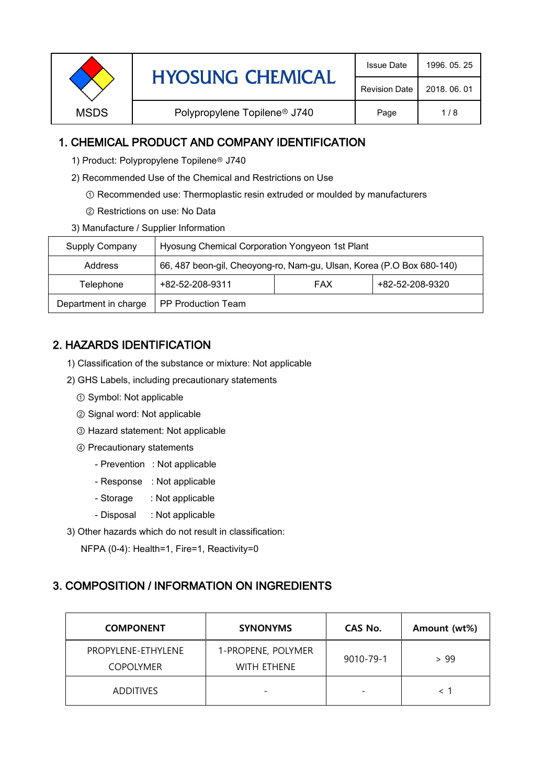| <b>HYOSUNG CHEMICAL</b> | <b>Issue Date</b>                        | 1996, 05, 25         |              |
|-------------------------|------------------------------------------|----------------------|--------------|
|                         |                                          | <b>Revision Date</b> | 2018, 06, 01 |
| <b>MSDS</b>             | Polypropylene Topilene <sup>®</sup> J740 | Page                 | 1/8          |
|                         |                                          |                      |              |

# 1. CHEMICAL PRODUCT AND COMPANY IDENTIFICATION

- 1) Product: Polypropylene Topilene<sup>®</sup> J740
- 2) Recommended Use of the Chemical and Restrictions on Use
	- ① Recommended use: Thermoplastic resin extruded or moulded by manufacturers
	- ② Restrictions on use: No Data
- 3) Manufacture / Supplier Information

| Supply Company                             | Hyosung Chemical Corporation Yongyeon 1st Plant                       |                 |  |  |
|--------------------------------------------|-----------------------------------------------------------------------|-----------------|--|--|
| Address                                    | 66, 487 beon-gil, Cheoyong-ro, Nam-gu, Ulsan, Korea (P.O Box 680-140) |                 |  |  |
| +82-52-208-9311<br><b>FAX</b><br>Telephone |                                                                       | +82-52-208-9320 |  |  |
| Department in charge                       | <b>PP Production Team</b>                                             |                 |  |  |

# 2. HAZARDS IDENTIFICATION

- 1) Classification of the substance or mixture: Not applicable
- 2) GHS Labels, including precautionary statements
	- ① Symbol: Not applicable
	- ② Signal word: Not applicable
	- ③ Hazard statement: Not applicable
	- ④ Precautionary statements
		- Prevention : Not applicable
		- Response : Not applicable
		- Storage : Not applicable
		- Disposal : Not applicable
- 3) Other hazards which do not result in classification:

NFPA (0-4): Health=1, Fire=1, Reactivity=0

## 3. COMPOSITION / INFORMATION ON INGREDIENTS

| <b>COMPONENT</b>                       | <b>SYNONYMS</b>                          | CAS No.                  | Amount (wt%) |
|----------------------------------------|------------------------------------------|--------------------------|--------------|
| PROPYLENE-ETHYLENE<br><b>COPOLYMER</b> | 1-PROPENE, POLYMER<br><b>WITH ETHENE</b> | 9010-79-1                | > 99         |
| <b>ADDITIVES</b>                       |                                          | $\overline{\phantom{0}}$ |              |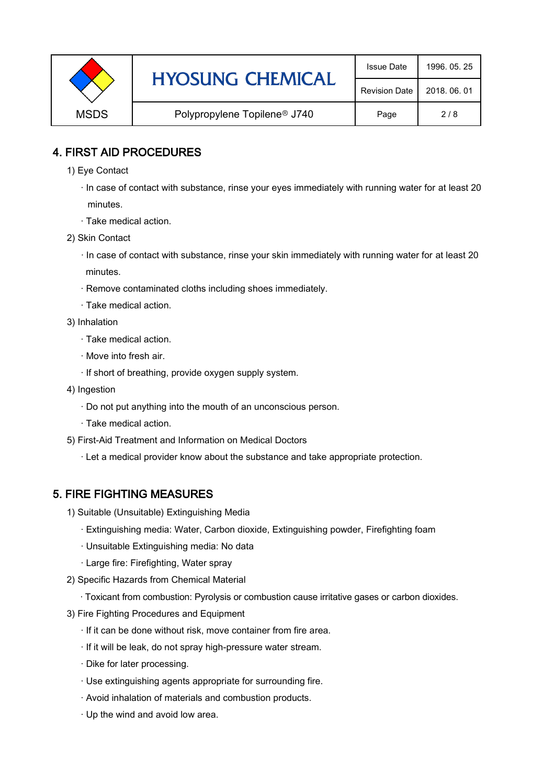|             | <b>HYOSUNG CHEMICAL</b>                  | <b>Issue Date</b>    | 1996, 05, 25 |
|-------------|------------------------------------------|----------------------|--------------|
|             |                                          | <b>Revision Date</b> | 2018, 06, 01 |
| <b>MSDS</b> | Polypropylene Topilene <sup>®</sup> J740 | Page                 | 2/8          |

# 4. FIRST AID PROCEDURES

- 1) Eye Contact
	- · In case of contact with substance, rinse your eyes immediately with running water for at least 20 minutes.
	- · Take medical action.
- 2) Skin Contact
	- · In case of contact with substance, rinse your skin immediately with running water for at least 20 minutes.
	- · Remove contaminated cloths including shoes immediately.
	- · Take medical action.
- 3) Inhalation
	- · Take medical action.
	- · Move into fresh air.
	- · If short of breathing, provide oxygen supply system.
- 4) Ingestion
	- · Do not put anything into the mouth of an unconscious person.
	- · Take medical action.
- 5) First-Aid Treatment and Information on Medical Doctors
	- · Let a medical provider know about the substance and take appropriate protection.

# 5. FIRE FIGHTING MEASURES

- 1) Suitable (Unsuitable) Extinguishing Media
	- · Extinguishing media: Water, Carbon dioxide, Extinguishing powder, Firefighting foam
	- · Unsuitable Extinguishing media: No data
	- · Large fire: Firefighting, Water spray
- 2) Specific Hazards from Chemical Material
	- · Toxicant from combustion: Pyrolysis or combustion cause irritative gases or carbon dioxides.
- 3) Fire Fighting Procedures and Equipment
	- · If it can be done without risk, move container from fire area.
	- · If it will be leak, do not spray high-pressure water stream.
	- · Dike for later processing.
	- · Use extinguishing agents appropriate for surrounding fire.
	- · Avoid inhalation of materials and combustion products.
	- · Up the wind and avoid low area.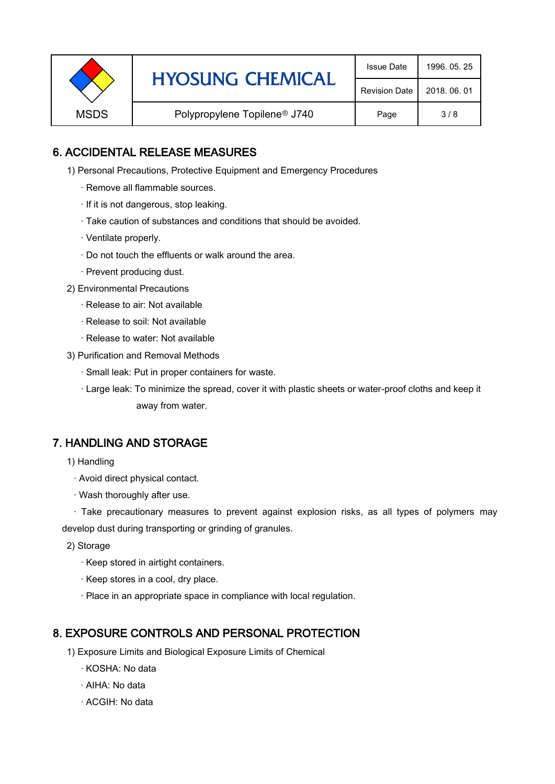|                                                         | <b>HYOSUNG CHEMICAL</b> | <b>Issue Date</b>    | 1996, 05, 25 |
|---------------------------------------------------------|-------------------------|----------------------|--------------|
|                                                         |                         | <b>Revision Date</b> | 2018, 06, 01 |
| <b>MSDS</b><br>Polypropylene Topilene <sup>®</sup> J740 |                         | Page                 | 3/8          |

# 6. ACCIDENTAL RELEASE MEASURES

- 1) Personal Precautions, Protective Equipment and Emergency Procedures
	- · Remove all flammable sources.
	- · If it is not dangerous, stop leaking.
	- · Take caution of substances and conditions that should be avoided.
	- · Ventilate properly.
	- · Do not touch the effluents or walk around the area.
	- · Prevent producing dust.
- 2) Environmental Precautions
	- · Release to air: Not available
	- · Release to soil: Not available
	- · Release to water: Not available
- 3) Purification and Removal Methods
	- · Small leak: Put in proper containers for waste.
	- ,· Large leak: To minimize the spread, cover it with plastic sheets or water-proof cloths and keep it away from water.

## 7. HANDLING AND STORAGE

- 1) Handling
	- · Avoid direct physical contact.
	- · Wash thoroughly after use.

· Take precautionary measures to prevent against explosion risks, as all types of polymers may develop dust during transporting or grinding of granules.

- 2) Storage
	- · Keep stored in airtight containers.
	- · Keep stores in a cool, dry place.
	- · Place in an appropriate space in compliance with local regulation.

## 8. EXPOSURE CONTROLS AND PERSONAL PROTECTION

- 1) Exposure Limits and Biological Exposure Limits of Chemical
	- · KOSHA: No data
	- · AIHA: No data
	- · ACGIH: No data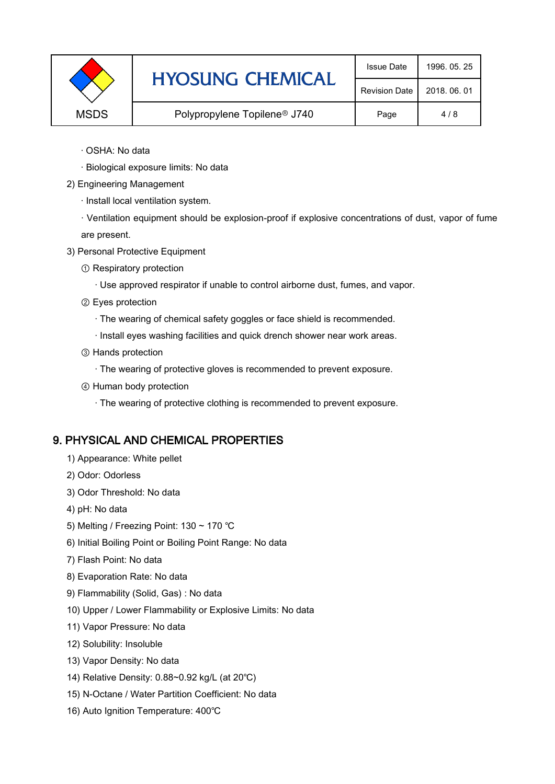|             | <b>HYOSUNG CHEMICAL</b>                  | <b>Issue Date</b>    | 1996, 05, 25 |
|-------------|------------------------------------------|----------------------|--------------|
|             |                                          | <b>Revision Date</b> | 2018, 06, 01 |
| <b>MSDS</b> | Polypropylene Topilene <sup>®</sup> J740 | Page                 | 4/8          |

- · OSHA: No data
- · Biological exposure limits: No data
- 2) Engineering Management
	- · Install local ventilation system.

· Ventilation equipment should be explosion-proof if explosive concentrations of dust, vapor of fume are present.

- 3) Personal Protective Equipment
	- ① Respiratory protection
		- · Use approved respirator if unable to control airborne dust, fumes, and vapor.
	- ② Eyes protection
		- · The wearing of chemical safety goggles or face shield is recommended.
		- · Install eyes washing facilities and quick drench shower near work areas.
	- ③ Hands protection
		- · The wearing of protective gloves is recommended to prevent exposure.
	- ④ Human body protection
		- · The wearing of protective clothing is recommended to prevent exposure.

#### 9. PHYSICAL AND CHEMICAL PROPERTIES

- 1) Appearance: White pellet
- 2) Odor: Odorless
- 3) Odor Threshold: No data
- 4) pH: No data
- 5) Melting / Freezing Point: 130 ~ 170 ℃
- 6) Initial Boiling Point or Boiling Point Range: No data
- 7) Flash Point: No data
- 8) Evaporation Rate: No data
- 9) Flammability (Solid, Gas) : No data
- 10) Upper / Lower Flammability or Explosive Limits: No data
- 11) Vapor Pressure: No data
- 12) Solubility: Insoluble
- 13) Vapor Density: No data
- 14) Relative Density: 0.88~0.92 kg/L (at 20℃)
- 15) N-Octane / Water Partition Coefficient: No data
- 16) Auto Ignition Temperature: 400℃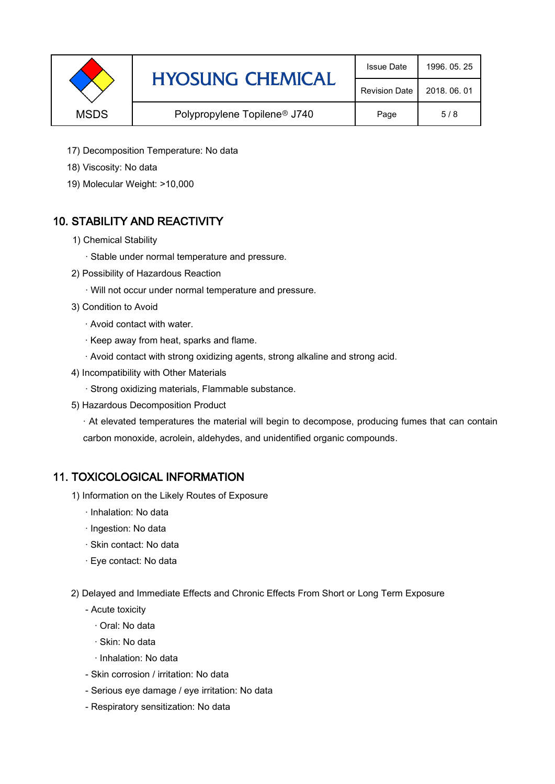|             | <b>HYOSUNG CHEMICAL</b>                  | <b>Issue Date</b>    | 1996, 05, 25 |
|-------------|------------------------------------------|----------------------|--------------|
|             |                                          | <b>Revision Date</b> | 2018, 06, 01 |
| <b>MSDS</b> | Polypropylene Topilene <sup>®</sup> J740 | Page                 | 5/8          |

- 17) Decomposition Temperature: No data
- 18) Viscosity: No data
- 19) Molecular Weight: >10,000

# 10. STABILITY AND REACTIVITY

- 1) Chemical Stability
	- · Stable under normal temperature and pressure.
- 2) Possibility of Hazardous Reaction
	- · Will not occur under normal temperature and pressure.
- 3) Condition to Avoid
	- · Avoid contact with water.
	- · Keep away from heat, sparks and flame.
	- · Avoid contact with strong oxidizing agents, strong alkaline and strong acid.
- 4) Incompatibility with Other Materials
	- · Strong oxidizing materials, Flammable substance.
- 5) Hazardous Decomposition Product

· At elevated temperatures the material will begin to decompose, producing fumes that can contain carbon monoxide, acrolein, aldehydes, and unidentified organic compounds.

## 11. TOXICOLOGICAL INFORMATION

- 1) Information on the Likely Routes of Exposure
	- · Inhalation: No data
	- · Ingestion: No data
	- · Skin contact: No data
	- · Eye contact: No data
- 2) Delayed and Immediate Effects and Chronic Effects From Short or Long Term Exposure
	- Acute toxicity
		- · Oral: No data
		- · Skin: No data
		- · Inhalation: No data
	- Skin corrosion / irritation: No data
	- Serious eye damage / eye irritation: No data
	- Respiratory sensitization: No data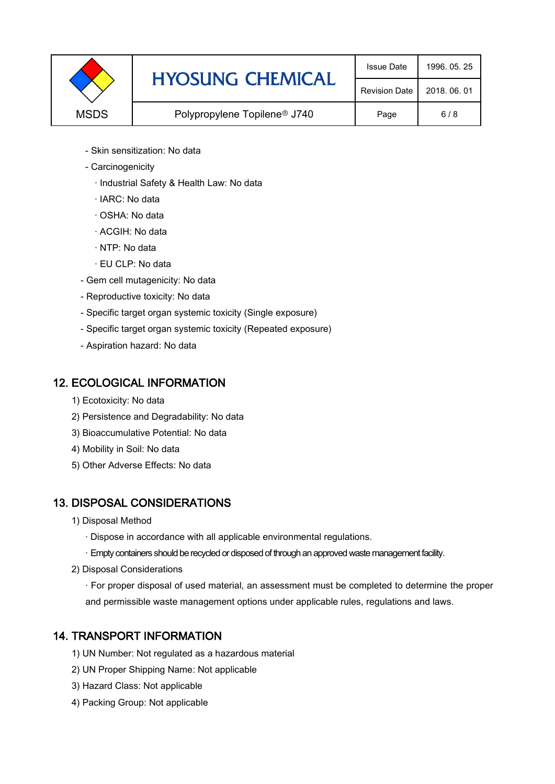|             | <b>HYOSUNG CHEMICAL</b>                  | <b>Issue Date</b>    | 1996, 05, 25 |
|-------------|------------------------------------------|----------------------|--------------|
|             |                                          | <b>Revision Date</b> | 2018, 06, 01 |
| <b>MSDS</b> | Polypropylene Topilene <sup>®</sup> J740 | Page                 | 6/8          |

- Skin sensitization: No data
- Carcinogenicity
	- · Industrial Safety & Health Law: No data
	- · IARC: No data
	- · OSHA: No data
	- · ACGIH: No data
	- · NTP: No data
	- · EU CLP: No data
- Gem cell mutagenicity: No data
- Reproductive toxicity: No data
- Specific target organ systemic toxicity (Single exposure)
- Specific target organ systemic toxicity (Repeated exposure)
- Aspiration hazard: No data

## 12. ECOLOGICAL INFORMATION

- 1) Ecotoxicity: No data
- 2) Persistence and Degradability: No data
- 3) Bioaccumulative Potential: No data
- 4) Mobility in Soil: No data
- 5) Other Adverse Effects: No data

# 13. DISPOSAL CONSIDERATIONS

- 1) Disposal Method
	- · Dispose in accordance with all applicable environmental regulations.
	- · Empty containers should be recycled or disposed of through an approved waste management facility.
- 2) Disposal Considerations
	- · For proper disposal of used material, an assessment must be completed to determine the proper and permissible waste management options under applicable rules, regulations and laws.

# 14. TRANSPORT INFORMATION

- 1) UN Number: Not regulated as a hazardous material
- 2) UN Proper Shipping Name: Not applicable
- 3) Hazard Class: Not applicable
- 4) Packing Group: Not applicable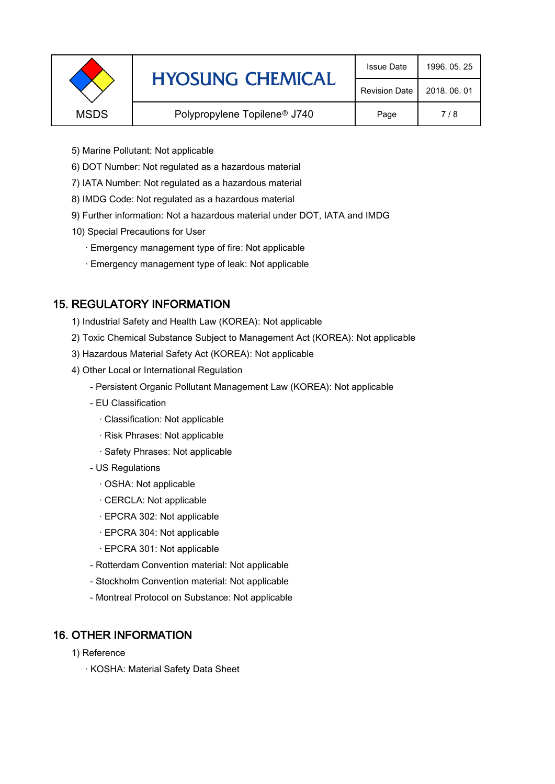|             | <b>HYOSUNG CHEMICAL</b>                  | <b>Issue Date</b> | 1996, 05, 25 |
|-------------|------------------------------------------|-------------------|--------------|
|             | <b>Revision Date</b>                     | 2018, 06, 01      |              |
| <b>MSDS</b> | Polypropylene Topilene <sup>®</sup> J740 | Page              | 7/8          |
|             |                                          |                   |              |

- 5) Marine Pollutant: Not applicable
- 6) DOT Number: Not regulated as a hazardous material
- 7) IATA Number: Not regulated as a hazardous material
- 8) IMDG Code: Not regulated as a hazardous material
- 9) Further information: Not a hazardous material under DOT, IATA and IMDG
- 10) Special Precautions for User
	- · Emergency management type of fire: Not applicable
	- · Emergency management type of leak: Not applicable

# 15. REGULATORY INFORMATION

- 1) Industrial Safety and Health Law (KOREA): Not applicable
- 2) Toxic Chemical Substance Subject to Management Act (KOREA): Not applicable
- 3) Hazardous Material Safety Act (KOREA): Not applicable
- 4) Other Local or International Regulation
	- Persistent Organic Pollutant Management Law (KOREA): Not applicable
	- EU Classification
		- · Classification: Not applicable
		- · Risk Phrases: Not applicable
		- · Safety Phrases: Not applicable
	- US Regulations
		- · OSHA: Not applicable
		- · CERCLA: Not applicable
		- · EPCRA 302: Not applicable
		- · EPCRA 304: Not applicable
		- · EPCRA 301: Not applicable
	- Rotterdam Convention material: Not applicable
	- Stockholm Convention material: Not applicable
	- Montreal Protocol on Substance: Not applicable

# 16. OTHER INFORMATION

- 1) Reference
	- · KOSHA: Material Safety Data Sheet